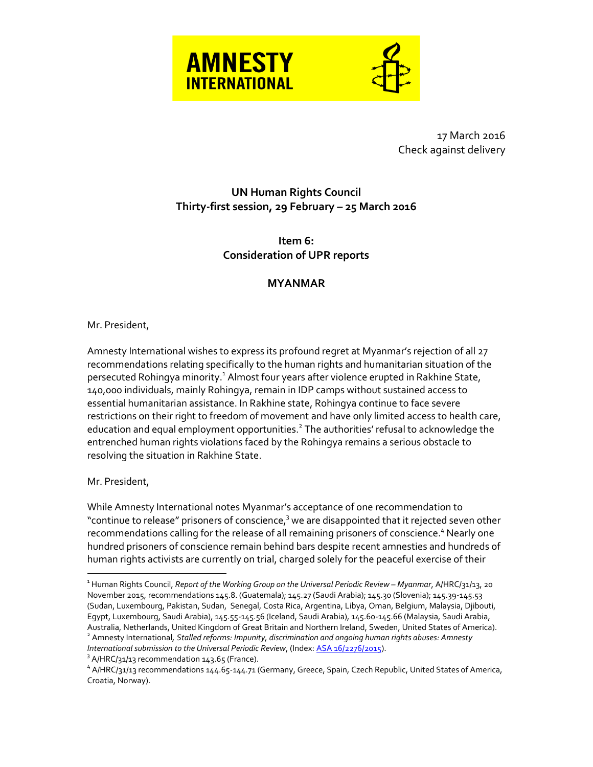



17 March 2016 Check against delivery

## **UN Human Rights Council Thirty-first session, 29 February – 25 March 2016**

**Item 6: Consideration of UPR reports**

## **MYANMAR**

## Mr. President,

Amnesty International wishes to express its profound regret at Myanmar's rejection of all 27 recommendations relating specifically to the human rights and humanitarian situation of the persecuted Rohingya minority.<sup>1</sup> Almost four years after violence erupted in Rakhine State, 140,000 individuals, mainly Rohingya, remain in IDP camps without sustained access to essential humanitarian assistance. In Rakhine state, Rohingya continue to face severe restrictions on their right to freedom of movement and have only limited access to health care, education and equal employment opportunities.<sup>2</sup> The authorities' refusal to acknowledge the entrenched human rights violations faced by the Rohingya remains a serious obstacle to resolving the situation in Rakhine State.

Mr. President,

 $\overline{a}$ 

While Amnesty International notes Myanmar's acceptance of one recommendation to "continue to release" prisoners of conscience,<sup>3</sup> we are disappointed that it rejected seven other recommendations calling for the release of all remaining prisoners of conscience. <sup>4</sup> Nearly one hundred prisoners of conscience remain behind bars despite recent amnesties and hundreds of human rights activists are currently on trial, charged solely for the peaceful exercise of their

<sup>&</sup>lt;sup>1</sup> Human Rights Council, *Report of the Working Group on the Universal Periodic Review – Myanmar, A/HRC/31/13, 20* November 2015, recommendations 145.8. (Guatemala); 145.27 (Saudi Arabia); 145.30 (Slovenia); 145.39-145.53 (Sudan, Luxembourg, Pakistan, Sudan, Senegal, Costa Rica, Argentina, Libya, Oman, Belgium, Malaysia, Djibouti, Egypt, Luxembourg, Saudi Arabia), 145.55-145.56 (Iceland, Saudi Arabia), 145.60-145.66 (Malaysia, Saudi Arabia, Australia, Netherlands, United Kingdom of Great Britain and Northern Ireland, Sweden, United States of America). 2 Amnesty International*, Stalled reforms: Impunity, discrimination and ongoing human rights abuses: Amnesty International submission to the Universal Periodic Review*, (Index[: ASA 16/2276/2015\)](https://www.amnesty.org/en/documents/asa16/2276/2015/en/).

 $3$  A/HRC/31/13 recommendation 143.65 (France).

<sup>4</sup> A/HRC/31/13 recommendations 144.65-144.71 (Germany, Greece, Spain, Czech Republic, United States of America, Croatia, Norway).